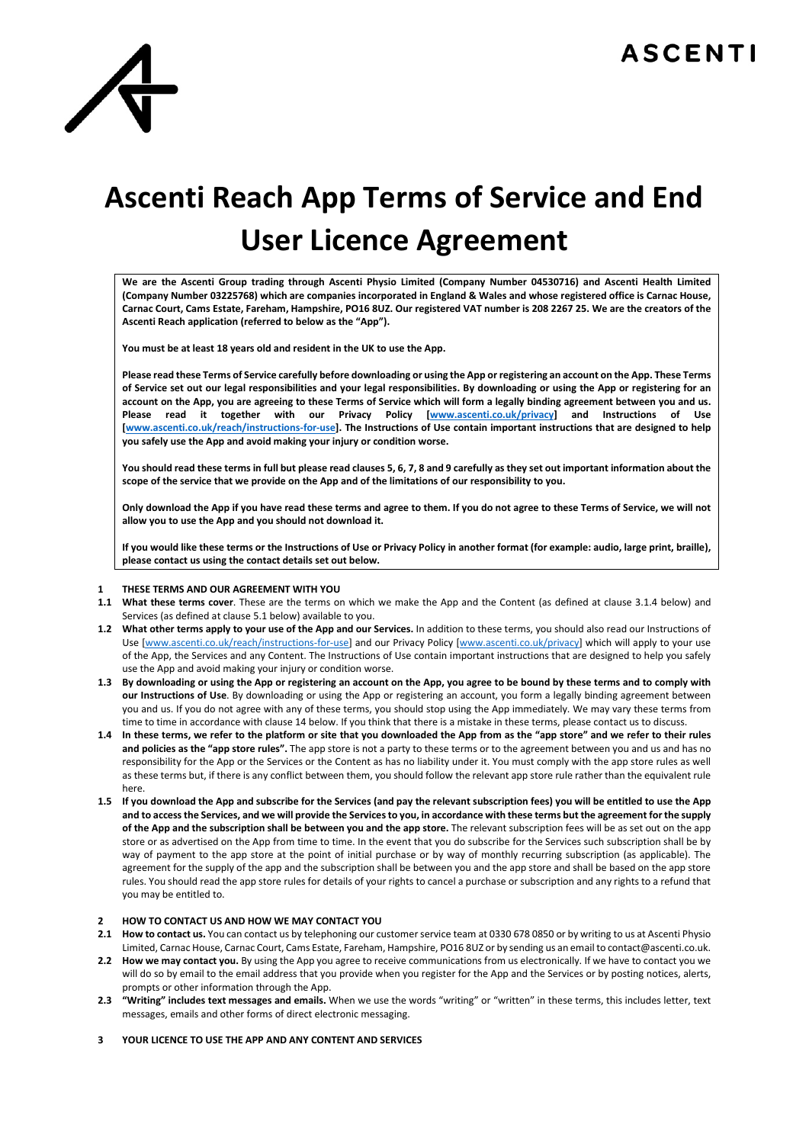

# **Ascenti Reach App Terms of Service and End User Licence Agreement**

**We are the Ascenti Group trading through Ascenti Physio Limited (Company Number 04530716) and Ascenti Health Limited (Company Number 03225768) which are companies incorporated in England & Wales and whose registered office is Carnac House, Carnac Court, Cams Estate, Fareham, Hampshire, PO16 8UZ. Our registered VAT number is 208 2267 25. We are the creators of the Ascenti Reach application (referred to below as the "App").**

**You must be at least 18 years old and resident in the UK to use the App.**

**Please read these Terms of Service carefully before downloading or using the App or registering an account on the App. These Terms of Service set out our legal responsibilities and your legal responsibilities. By downloading or using the App or registering for an account on the App, you are agreeing to these Terms of Service which will form a legally binding agreement between you and us. Please read it together with our Privacy Policy [www.ascenti.co.uk/privacy] and Instructions of Use [www.ascenti.co.uk/reach/instructions-for-use]. The Instructions of Use contain important instructions that are designed to help you safely use the App and avoid making your injury or condition worse.** 

**You should read these terms in full but please read clauses 5, 6, 7, 8 and 9 carefully as they set out important information about the scope of the service that we provide on the App and of the limitations of our responsibility to you.**

**Only download the App if you have read these terms and agree to them. If you do not agree to these Terms of Service, we will not allow you to use the App and you should not download it.**

**If you would like these terms or the Instructions of Use or Privacy Policy in another format (for example: audio, large print, braille), please contact us using the contact details set out below.**

# **1 THESE TERMS AND OUR AGREEMENT WITH YOU**

- **1.1 What these terms cover**. These are the terms on which we make the App and the Content (as defined at clause 3.1.4 below) and Services (as defined at clause 5.1 below) available to you.
- **1.2 What other terms apply to your use of the App and our Services.** In addition to these terms, you should also read our Instructions of Use [www.ascenti.co.uk/reach/instructions-for-use] and our Privacy Policy [www.ascenti.co.uk/privacy] which will apply to your use of the App, the Services and any Content. The Instructions of Use contain important instructions that are designed to help you safely use the App and avoid making your injury or condition worse.
- **1.3 By downloading or using the App or registering an account on the App, you agree to be bound by these terms and to comply with our Instructions of Use**. By downloading or using the App or registering an account, you form a legally binding agreement between you and us. If you do not agree with any of these terms, you should stop using the App immediately. We may vary these terms from time to time in accordance with clause 14 below. If you think that there is a mistake in these terms, please contact us to discuss.
- **1.4 In these terms, we refer to the platform or site that you downloaded the App from as the "app store" and we refer to their rules and policies as the "app store rules".** The app store is not a party to these terms or to the agreement between you and us and has no responsibility for the App or the Services or the Content as has no liability under it. You must comply with the app store rules as well as these terms but, if there is any conflict between them, you should follow the relevant app store rule rather than the equivalent rule here.
- **1.5 If you download the App and subscribe for the Services (and pay the relevant subscription fees) you will be entitled to use the App and to access the Services, and we will provide the Services to you, in accordance with these terms but the agreement for the supply of the App and the subscription shall be between you and the app store.** The relevant subscription fees will be as set out on the app store or as advertised on the App from time to time. In the event that you do subscribe for the Services such subscription shall be by way of payment to the app store at the point of initial purchase or by way of monthly recurring subscription (as applicable). The agreement for the supply of the app and the subscription shall be between you and the app store and shall be based on the app store rules. You should read the app store rules for details of your rights to cancel a purchase or subscription and any rights to a refund that you may be entitled to.

# **2 HOW TO CONTACT US AND HOW WE MAY CONTACT YOU**

- 2.1 How to contact us. You can contact us by telephoning our customer service team at 0330 678 0850 or by writing to us at Ascenti Physio Limited, Carnac House, Carnac Court, Cams Estate, Fareham, Hampshire, PO16 8UZ or by sending us an email to contact@ascenti.co.uk.
- **2.2 How we may contact you.** By using the App you agree to receive communications from us electronically. If we have to contact you we will do so by email to the email address that you provide when you register for the App and the Services or by posting notices, alerts, prompts or other information through the App.
- **2.3 "Writing" includes text messages and emails.** When we use the words "writing" or "written" in these terms, this includes letter, text messages, emails and other forms of direct electronic messaging.

# **3 YOUR LICENCE TO USE THE APP AND ANY CONTENT AND SERVICES**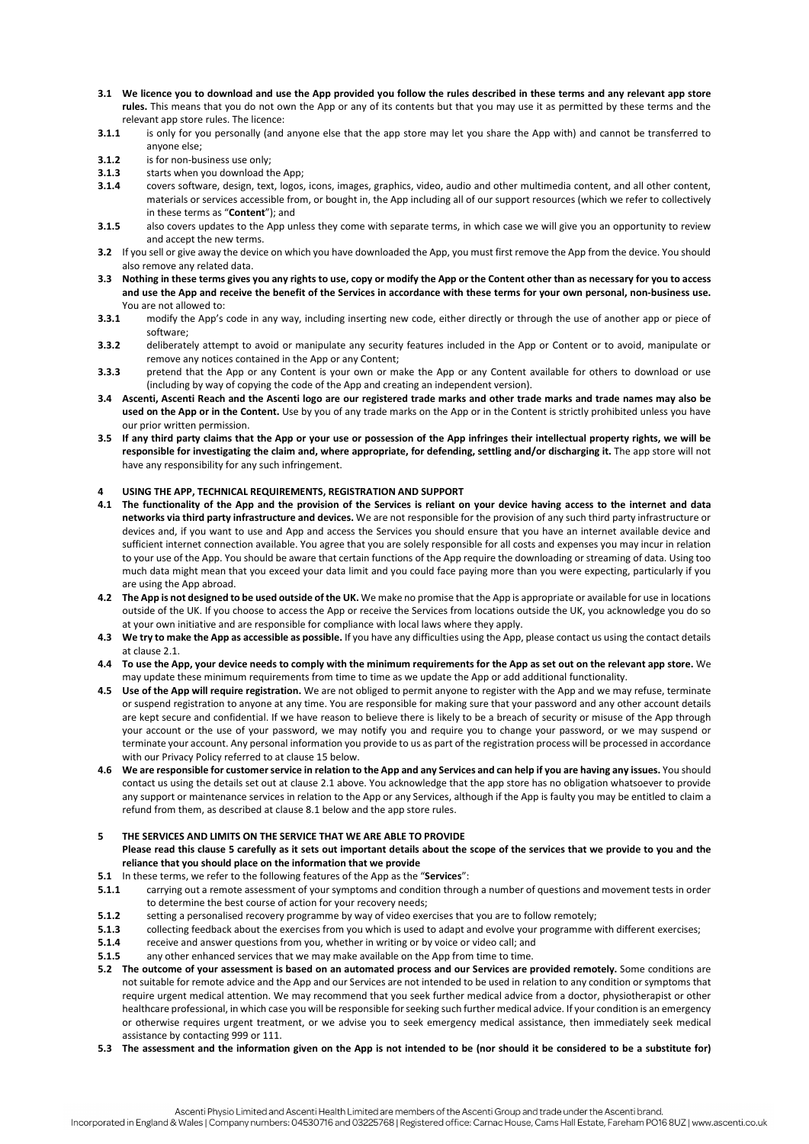- **3.1 We licence you to download and use the App provided you follow the rules described in these terms and any relevant app store rules.** This means that you do not own the App or any of its contents but that you may use it as permitted by these terms and the relevant app store rules. The licence:
- **3.1.1** is only for you personally (and anyone else that the app store may let you share the App with) and cannot be transferred to anyone else;
- **3.1.2** is for non-business use only;<br>**3.1.3** starts when you download tl
- **3.1.3** starts when you download the App;<br>**3.1.4** covers software, design, text, logos
- **3.1.4** covers software, design, text, logos, icons, images, graphics, video, audio and other multimedia content, and all other content, materials or services accessible from, or bought in, the App including all of our support resources (which we refer to collectively in these terms as "**Content**"); and
- **3.1.5** also covers updates to the App unless they come with separate terms, in which case we will give you an opportunity to review and accept the new terms.
- **3.2** If you sell or give away the device on which you have downloaded the App, you must first remove the App from the device. You should also remove any related data.
- **3.3 Nothing in these terms gives you any rights to use, copy or modify the App or the Content other than as necessary for you to access and use the App and receive the benefit of the Services in accordance with these terms for your own personal, non-business use.**  You are not allowed to:
- **3.3.1** modify the App's code in any way, including inserting new code, either directly or through the use of another app or piece of software;
- **3.3.2** deliberately attempt to avoid or manipulate any security features included in the App or Content or to avoid, manipulate or remove any notices contained in the App or any Content;
- **3.3.3** pretend that the App or any Content is your own or make the App or any Content available for others to download or use (including by way of copying the code of the App and creating an independent version).
- **3.4 Ascenti, Ascenti Reach and the Ascenti logo are our registered trade marks and other trade marks and trade names may also be used on the App or in the Content.** Use by you of any trade marks on the App or in the Content is strictly prohibited unless you have our prior written permission.
- **3.5 If any third party claims that the App or your use or possession of the App infringes their intellectual property rights, we will be responsible for investigating the claim and, where appropriate, for defending, settling and/or discharging it.** The app store will not have any responsibility for any such infringement.

#### **4 USING THE APP, TECHNICAL REQUIREMENTS, REGISTRATION AND SUPPORT**

- **4.1 The functionality of the App and the provision of the Services is reliant on your device having access to the internet and data networks via third party infrastructure and devices.** We are not responsible for the provision of any such third party infrastructure or devices and, if you want to use and App and access the Services you should ensure that you have an internet available device and sufficient internet connection available. You agree that you are solely responsible for all costs and expenses you may incur in relation to your use of the App. You should be aware that certain functions of the App require the downloading or streaming of data. Using too much data might mean that you exceed your data limit and you could face paying more than you were expecting, particularly if you are using the App abroad.
- **4.2 The App is not designed to be used outside of the UK.** We make no promise that the App is appropriate or available for use in locations outside of the UK. If you choose to access the App or receive the Services from locations outside the UK, you acknowledge you do so at your own initiative and are responsible for compliance with local laws where they apply.
- **4.3 We try to make the App as accessible as possible.** If you have any difficulties using the App, please contact us using the contact details at clause 2.1.
- **4.4 To use the App, your device needs to comply with the minimum requirements for the App as set out on the relevant app store.** We may update these minimum requirements from time to time as we update the App or add additional functionality.
- **4.5 Use of the App will require registration.** We are not obliged to permit anyone to register with the App and we may refuse, terminate or suspend registration to anyone at any time. You are responsible for making sure that your password and any other account details are kept secure and confidential. If we have reason to believe there is likely to be a breach of security or misuse of the App through your account or the use of your password, we may notify you and require you to change your password, or we may suspend or terminate your account. Any personal information you provide to us as part of the registration process will be processed in accordance with our Privacy Policy referred to at clause 15 below.
- **4.6 We are responsible for customer service in relation to the App and any Services and can help if you are having any issues.** You should contact us using the details set out at clause 2.1 above. You acknowledge that the app store has no obligation whatsoever to provide any support or maintenance services in relation to the App or any Services, although if the App is faulty you may be entitled to claim a refund from them, as described at clause 8.1 below and the app store rules.
- **5 THE SERVICES AND LIMITS ON THE SERVICE THAT WE ARE ABLE TO PROVIDE Please read this clause 5 carefully as it sets out important details about the scope of the services that we provide to you and the reliance that you should place on the information that we provide**
- **5.1** In these terms, we refer to the following features of the App as the "**Services**":
- **5.1.1** carrying out a remote assessment of your symptoms and condition through a number of questions and movement tests in order to determine the best course of action for your recovery needs;
- **5.1.2** setting a personalised recovery programme by way of video exercises that you are to follow remotely;
- **5.1.3** collecting feedback about the exercises from you which is used to adapt and evolve your programme with different exercises;<br>**5.1.4** receive and answer questions from you, whether in writing or by voice or video cal
- **5.1.4** receive and answer questions from you, whether in writing or by voice or video call; and
- **5.1.5** any other enhanced services that we may make available on the App from time to time.
- **5.2 The outcome of your assessment is based on an automated process and our Services are provided remotely.** Some conditions are not suitable for remote advice and the App and our Services are not intended to be used in relation to any condition or symptoms that require urgent medical attention. We may recommend that you seek further medical advice from a doctor, physiotherapist or other healthcare professional, in which case you will be responsible for seeking such further medical advice. If your condition is an emergency or otherwise requires urgent treatment, or we advise you to seek emergency medical assistance, then immediately seek medical assistance by contacting 999 or 111.
- **5.3 The assessment and the information given on the App is not intended to be (nor should it be considered to be a substitute for)**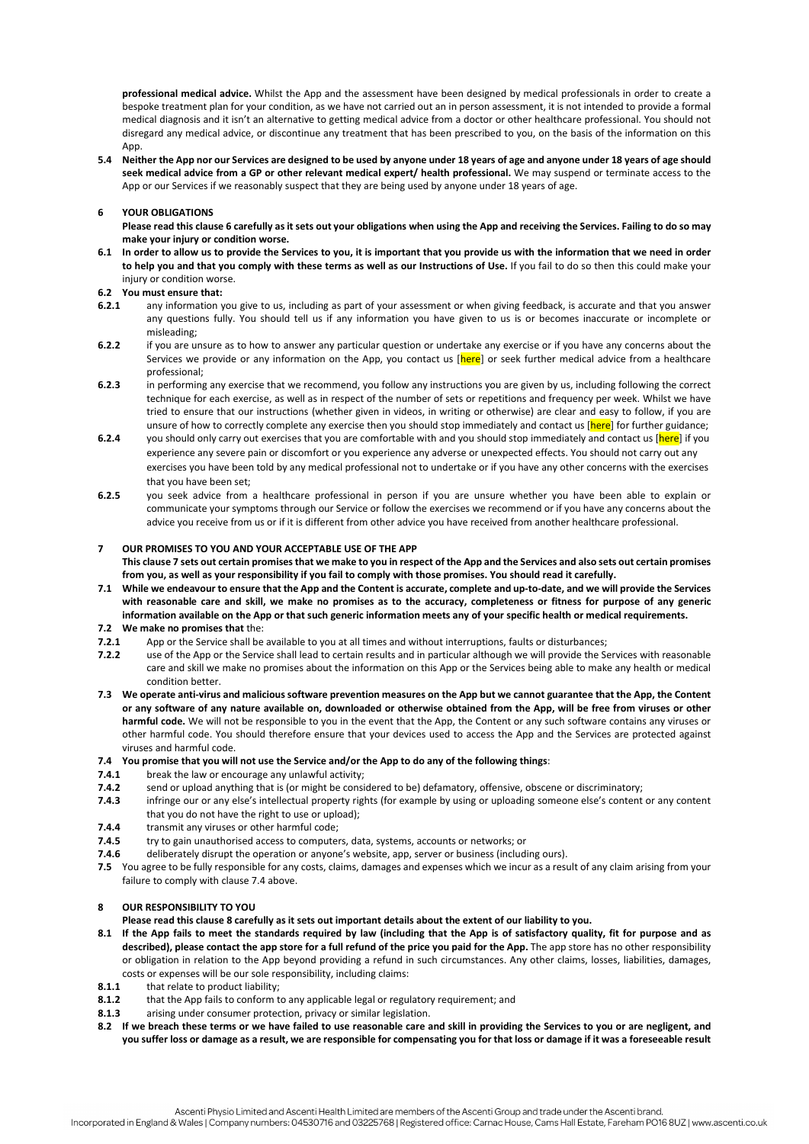**professional medical advice.** Whilst the App and the assessment have been designed by medical professionals in order to create a bespoke treatment plan for your condition, as we have not carried out an in person assessment, it is not intended to provide a formal medical diagnosis and it isn't an alternative to getting medical advice from a doctor or other healthcare professional. You should not disregard any medical advice, or discontinue any treatment that has been prescribed to you, on the basis of the information on this  $Ann$ 

**5.4 Neither the App nor our Services are designed to be used by anyone under 18 years of age and anyone under 18 years of age should seek medical advice from a GP or other relevant medical expert/ health professional.** We may suspend or terminate access to the App or our Services if we reasonably suspect that they are being used by anyone under 18 years of age.

# **6 YOUR OBLIGATIONS**

**Please read this clause 6 carefully as it sets out your obligations when using the App and receiving the Services. Failing to do so may make your injury or condition worse.**

**6.1 In order to allow us to provide the Services to you, it is important that you provide us with the information that we need in order to help you and that you comply with these terms as well as our Instructions of Use.** If you fail to do so then this could make your injury or condition worse.

#### **6.2 You must ensure that:**

- **6.2.1** any information you give to us, including as part of your assessment or when giving feedback, is accurate and that you answer any questions fully. You should tell us if any information you have given to us is or becomes inaccurate or incomplete or misleading;
- **6.2.2** if you are unsure as to how to answer any particular question or undertake any exercise or if you have any concerns about the Services we provide or any information on the App, you contact us [here] or seek further medical advice from a healthcare professional;
- **6.2.3** in performing any exercise that we recommend, you follow any instructions you are given by us, including following the correct technique for each exercise, as well as in respect of the number of sets or repetitions and frequency per week. Whilst we have tried to ensure that our instructions (whether given in videos, in writing or otherwise) are clear and easy to follow, if you are unsure of how to correctly complete any exercise then you should stop immediately and contact us [here] for further guidance;
- **6.2.4** you should only carry out exercises that you are comfortable with and you should stop immediately and contact us [here] if you experience any severe pain or discomfort or you experience any adverse or unexpected effects. You should not carry out any exercises you have been told by any medical professional not to undertake or if you have any other concerns with the exercises that you have been set;
- **6.2.5** you seek advice from a healthcare professional in person if you are unsure whether you have been able to explain or communicate your symptoms through our Service or follow the exercises we recommend or if you have any concerns about the advice you receive from us or if it is different from other advice you have received from another healthcare professional.

#### **7 OUR PROMISES TO YOU AND YOUR ACCEPTABLE USE OF THE APP**

- **This clause 7 sets out certain promises that we make to you in respect of the App and the Services and also sets out certain promises from you, as well as your responsibility if you fail to comply with those promises. You should read it carefully.**
- **7.1 While we endeavour to ensure that the App and the Content is accurate, complete and up-to-date, and we will provide the Services with reasonable care and skill, we make no promises as to the accuracy, completeness or fitness for purpose of any generic information available on the App or that such generic information meets any of your specific health or medical requirements.**

# **7.2 We make no promises that the:**<br>**7.2.1** App or the Service shall be

- **7.2.1** App or the Service shall be available to you at all times and without interruptions, faults or disturbances;
- **7.2.2** use of the App or the Service shall lead to certain results and in particular although we will provide the Services with reasonable care and skill we make no promises about the information on this App or the Services being able to make any health or medical condition better.
- **7.3 We operate anti-virus and malicious software prevention measures on the App but we cannot guarantee that the App, the Content or any software of any nature available on, downloaded or otherwise obtained from the App, will be free from viruses or other harmful code.** We will not be responsible to you in the event that the App, the Content or any such software contains any viruses or other harmful code. You should therefore ensure that your devices used to access the App and the Services are protected against viruses and harmful code.

### **7.4 You promise that you will not use the Service and/or the App to do any of the following things**:

- **7.4.1** break the law or encourage any unlawful activity;
- **7.4.2** send or upload anything that is (or might be considered to be) defamatory, offensive, obscene or discriminatory;
- **7.4.3** infringe our or any else's intellectual property rights (for example by using or uploading someone else's content or any content that you do not have the right to use or upload);
- **7.4.4** transmit any viruses or other harmful code;
- **7.4.5** try to gain unauthorised access to computers, data, systems, accounts or networks; or
- **7.4.6** deliberately disrupt the operation or anyone's website, app, server or business (including ours).
- **7.5** You agree to be fully responsible for any costs, claims, damages and expenses which we incur as a result of any claim arising from your failure to comply with clause 7.4 above.

# **8 OUR RESPONSIBILITY TO YOU**

#### **Please read this clause 8 carefully as it sets out important details about the extent of our liability to you.**

- **8.1 If the App fails to meet the standards required by law (including that the App is of satisfactory quality, fit for purpose and as described), please contact the app store for a full refund of the price you paid for the App.** The app store has no other responsibility or obligation in relation to the App beyond providing a refund in such circumstances. Any other claims, losses, liabilities, damages, costs or expenses will be our sole responsibility, including claims:
- **8.1.1** that relate to product liability;
- **8.1.2** that the App fails to conform to any applicable legal or regulatory requirement; and
- **8.1.3** arising under consumer protection, privacy or similar legislation.
- **8.2 If we breach these terms or we have failed to use reasonable care and skill in providing the Services to you or are negligent, and you suffer loss or damage as a result, we are responsible for compensating you for that loss or damage if it was a foreseeable result**

Ascenti Physio Limited and Ascenti Health Limited are members of the Ascenti Group and trade under the Ascenti brand.

Incorporated in England & Wales | Company numbers: 04530716 and 03225768 | Registered office: Carnac House, Cams Hall Estate, Fareham PO16 8UZ | www.ascenti.co.uk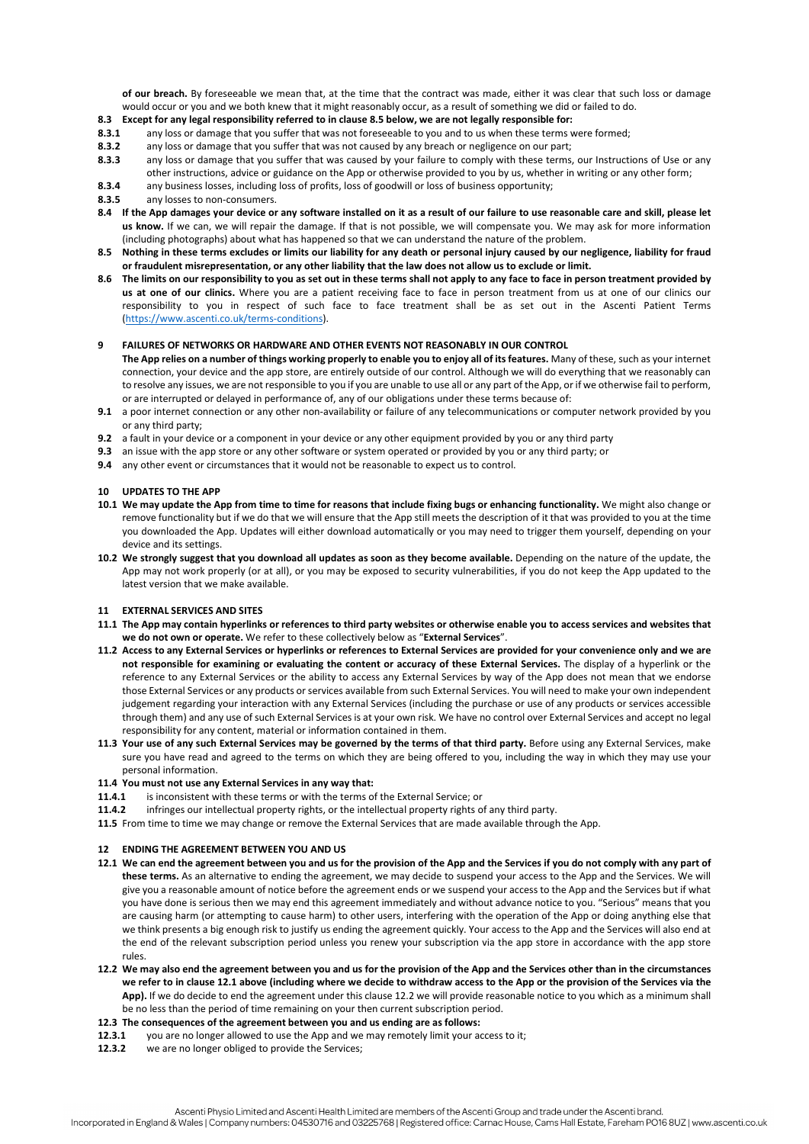**of our breach.** By foreseeable we mean that, at the time that the contract was made, either it was clear that such loss or damage would occur or you and we both knew that it might reasonably occur, as a result of something we did or failed to do.

# **8.3 Except for any legal responsibility referred to in clause 8.5 below, we are not legally responsible for:**

- **8.3.1** any loss or damage that you suffer that was not foreseeable to you and to us when these terms were formed;
- **8.3.2** any loss or damage that you suffer that was not caused by any breach or negligence on our part;<br>**8.3.3** any loss or damage that you suffer that was caused by your failure to comply with these terms
- **8.3.3** any loss or damage that you suffer that was caused by your failure to comply with these terms, our Instructions of Use or any other instructions, advice or guidance on the App or otherwise provided to you by us, whether in writing or any other form;
- **8.3.4** any business losses, including loss of profits, loss of goodwill or loss of business opportunity;<br>**8.3.5** any losses to non-consumers

- **8.4 If the App damages your device or any software installed on it as a result of our failure to use reasonable care and skill, please let us know.** If we can, we will repair the damage. If that is not possible, we will compensate you. We may ask for more information (including photographs) about what has happened so that we can understand the nature of the problem.
- **8.5 Nothing in these terms excludes or limits our liability for any death or personal injury caused by our negligence, liability for fraud or fraudulent misrepresentation, or any other liability that the law does not allow us to exclude or limit.**
- **8.6 The limits on our responsibility to you as set out in these terms shall not apply to any face to face in person treatment provided by us at one of our clinics.** Where you are a patient receiving face to face in person treatment from us at one of our clinics our responsibility to you in respect of such face to face treatment shall be as set out in the Ascenti Patient Terms [\(https://www.ascenti.co.uk/terms-conditions\).](https://www.ascenti.co.uk/terms-conditions)

#### **9 FAILURES OF NETWORKS OR HARDWARE AND OTHER EVENTS NOT REASONABLY IN OUR CONTROL**

**The App relies on a number of things working properly to enable you to enjoy all of its features.** Many of these, such as your internet connection, your device and the app store, are entirely outside of our control. Although we will do everything that we reasonably can to resolve any issues, we are not responsible to you if you are unable to use all or any part of the App, or if we otherwise fail to perform, or are interrupted or delayed in performance of, any of our obligations under these terms because of:

- **9.1** a poor internet connection or any other non-availability or failure of any telecommunications or computer network provided by you or any third party;
- **9.2** a fault in your device or a component in your device or any other equipment provided by you or any third party
- **9.3** an issue with the app store or any other software or system operated or provided by you or any third party; or
- **9.4** any other event or circumstances that it would not be reasonable to expect us to control.

#### **10 UPDATES TO THE APP**

- **10.1 We may update the App from time to time for reasons that include fixing bugs or enhancing functionality.** We might also change or remove functionality but if we do that we will ensure that the App still meets the description of it that was provided to you at the time you downloaded the App. Updates will either download automatically or you may need to trigger them yourself, depending on your device and its settings.
- **10.2 We strongly suggest that you download all updates as soon as they become available.** Depending on the nature of the update, the App may not work properly (or at all), or you may be exposed to security vulnerabilities, if you do not keep the App updated to the latest version that we make available.

#### **11 EXTERNAL SERVICES AND SITES**

- **11.1 The App may contain hyperlinks or references to third party websites or otherwise enable you to access services and websites that we do not own or operate.** We refer to these collectively below as "**External Services**".
- **11.2 Access to any External Services or hyperlinks or references to External Services are provided for your convenience only and we are not responsible for examining or evaluating the content or accuracy of these External Services.** The display of a hyperlink or the reference to any External Services or the ability to access any External Services by way of the App does not mean that we endorse those External Services or any products or services available from such External Services. You will need to make your own independent judgement regarding your interaction with any External Services (including the purchase or use of any products or services accessible through them) and any use of such External Services is at your own risk. We have no control over External Services and accept no legal responsibility for any content, material or information contained in them.
- **11.3 Your use of any such External Services may be governed by the terms of that third party.** Before using any External Services, make sure you have read and agreed to the terms on which they are being offered to you, including the way in which they may use your personal information.

# **11.4 You must not use any External Services in any way that:**

- **11.4.1** is inconsistent with these terms or with the terms of the External Service; or
- **11.4.2** infringes our intellectual property rights, or the intellectual property rights of any third party.
- **11.5** From time to time we may change or remove the External Services that are made available through the App.

#### **12 ENDING THE AGREEMENT BETWEEN YOU AND US**

- **12.1 We can end the agreement between you and us for the provision of the App and the Services if you do not comply with any part of these terms.** As an alternative to ending the agreement, we may decide to suspend your access to the App and the Services. We will give you a reasonable amount of notice before the agreement ends or we suspend your access to the App and the Services but if what you have done is serious then we may end this agreement immediately and without advance notice to you. "Serious" means that you are causing harm (or attempting to cause harm) to other users, interfering with the operation of the App or doing anything else that we think presents a big enough risk to justify us ending the agreement quickly. Your access to the App and the Services will also end at the end of the relevant subscription period unless you renew your subscription via the app store in accordance with the app store rules.
- **12.2 We may also end the agreement between you and us for the provision of the App and the Services other than in the circumstances we refer to in clause 12.1 above (including where we decide to withdraw access to the App or the provision of the Services via the App).** If we do decide to end the agreement under this clause 12.2 we will provide reasonable notice to you which as a minimum shall be no less than the period of time remaining on your then current subscription period.
- **12.3 The consequences of the agreement between you and us ending are as follows:**
- **12.3.1** you are no longer allowed to use the App and we may remotely limit your access to it;
- **12.3.2** we are no longer obliged to provide the Services;

**<sup>8.3.5</sup>** any losses to non-consumers.